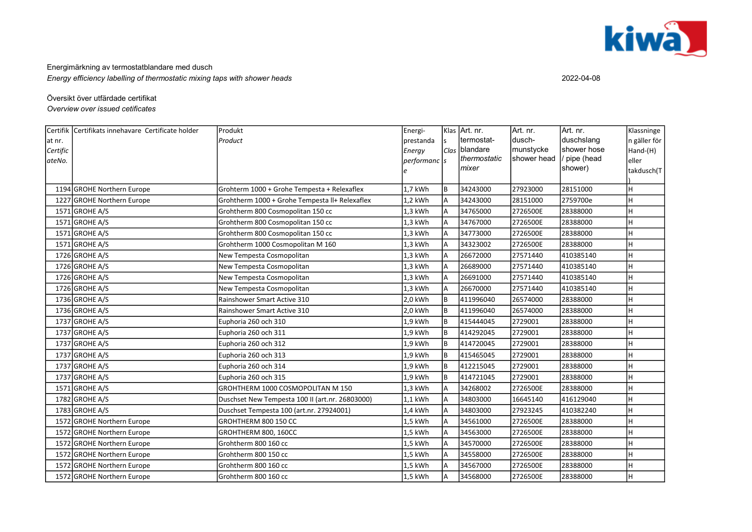

Energimärkning av termostatblandare med dusch Energy efficiency labelling of thermostatic mixing taps with shower heads 2022-04-08

## Översikt över utfärdade certifikat

Overview over issued cetificates

|          | Certifik Certifikats innehavare Certificate holder | Produkt                                         | Energi-      |     | Klas Art. nr. | Art. nr.    | Art. nr.    | Klassninge   |
|----------|----------------------------------------------------|-------------------------------------------------|--------------|-----|---------------|-------------|-------------|--------------|
| at nr.   |                                                    | Product                                         | prestanda    |     | termostat-    | dusch-      | duschslang  | n gäller för |
| Certific |                                                    |                                                 | Energy       |     | Clas blandare | munstycke   | shower hose | Hand-(H)     |
| ateNo.   |                                                    |                                                 | performanc s |     | thermostatic  | shower head | pipe (head  | eller        |
|          |                                                    |                                                 |              |     | mixer         |             | shower)     | takdusch(T   |
|          | 1194 GROHE Northern Europe                         | Grohterm 1000 + Grohe Tempesta + Relexaflex     | 1,7 kWh      | l B | 34243000      | 27923000    | 28151000    | lн           |
|          | 1227 GROHE Northern Europe                         | Grohtherm 1000 + Grohe Tempesta II+ Relexaflex  | 1,2 kWh      | A   | 34243000      | 28151000    | 2759700e    | lн           |
|          | 1571 GROHE A/S                                     | Grohtherm 800 Cosmopolitan 150 cc               | 1,3 kWh      |     | 34765000      | 2726500E    | 28388000    | lн           |
|          | 1571 GROHE A/S                                     | Grohtherm 800 Cosmopolitan 150 cc               | 1,3 kWh      | A   | 34767000      | 2726500E    | 28388000    | lн           |
|          | 1571 GROHE A/S                                     | Grohtherm 800 Cosmopolitan 150 cc               | $1,3$ kWh    | A   | 34773000      | 2726500E    | 28388000    | lн           |
|          | 1571 GROHE A/S                                     | Grohtherm 1000 Cosmopolitan M 160               | 1,3 kWh      | A   | 34323002      | 2726500E    | 28388000    | lн           |
|          | 1726 GROHE A/S                                     | New Tempesta Cosmopolitan                       | $1,3$ kWh    | A   | 26672000      | 27571440    | 410385140   | lн           |
|          | 1726 GROHE A/S                                     | New Tempesta Cosmopolitan                       | 1,3 kWh      | A   | 26689000      | 27571440    | 410385140   | lн           |
|          | 1726 GROHE A/S                                     | New Tempesta Cosmopolitan                       | 1,3 kWh      | A   | 26691000      | 27571440    | 410385140   | lн           |
|          | 1726 GROHE A/S                                     | New Tempesta Cosmopolitan                       | 1,3 kWh      | A   | 26670000      | 27571440    | 410385140   | lн           |
|          | 1736 GROHE A/S                                     | Rainshower Smart Active 310                     | 2,0 kWh      | lв  | 411996040     | 26574000    | 28388000    | lн           |
|          | 1736 GROHE A/S                                     | Rainshower Smart Active 310                     | 2,0 kWh      | lв  | 411996040     | 26574000    | 28388000    | lн           |
|          | 1737 GROHE A/S                                     | Euphoria 260 och 310                            | 1,9 kWh      | l B | 415444045     | 2729001     | 28388000    | lн           |
|          | $1737$ GROHE A/S                                   | Euphoria 260 och 311                            | 1,9 kWh      | l B | 414292045     | 2729001     | 28388000    |              |
|          | 1737 GROHE A/S                                     | Euphoria 260 och 312                            | 1,9 kWh      | l B | 414720045     | 2729001     | 28388000    |              |
|          | 1737 GROHE A/S                                     | Euphoria 260 och 313                            | 1,9 kWh      | Iв  | 415465045     | 2729001     | 28388000    | lн           |
|          | 1737 GROHE A/S                                     | Euphoria 260 och 314                            | 1,9 kWh      | lв  | 412215045     | 2729001     | 28388000    | lн           |
|          | 1737 GROHE A/S                                     | Euphoria 260 och 315                            | 1,9 kWh      | l B | 414721045     | 2729001     | 28388000    | lн           |
|          | 1571 GROHE A/S                                     | GROHTHERM 1000 COSMOPOLITAN M 150               | 1,3 kWh      | A   | 34268002      | 2726500E    | 28388000    | lн           |
|          | $1782$ GROHE A/S                                   | Duschset New Tempesta 100 II (art.nr. 26803000) | 1,1 kWh      | A   | 34803000      | 16645140    | 416129040   | lн           |
|          | 1783 GROHE A/S                                     | Duschset Tempesta 100 (art.nr. 27924001)        | 1,4 kWh      | A   | 34803000      | 27923245    | 410382240   | lн           |
|          | 1572 GROHE Northern Europe                         | GROHTHERM 800 150 CC                            | 1,5 kWh      |     | 34561000      | 2726500E    | 28388000    | Iн           |
|          | 1572 GROHE Northern Europe                         | GROHTHERM 800, 160CC                            | 1,5 kWh      | A   | 34563000      | 2726500E    | 28388000    | lн           |
|          | 1572 GROHE Northern Europe                         | Grohtherm 800 160 cc                            | 1,5 kWh      | A   | 34570000      | 2726500E    | 28388000    | lн           |
|          | 1572 GROHE Northern Europe                         | Grohtherm 800 150 cc                            | 1,5 kWh      |     | 34558000      | 2726500E    | 28388000    |              |
|          | 1572 GROHE Northern Europe                         | Grohtherm 800 160 cc                            | 1,5 kWh      |     | 34567000      | 2726500E    | 28388000    |              |
|          | 1572 GROHE Northern Europe                         | Grohtherm 800 160 cc                            | 1,5 kWh      | A   | 34568000      | 2726500E    | 28388000    | lн           |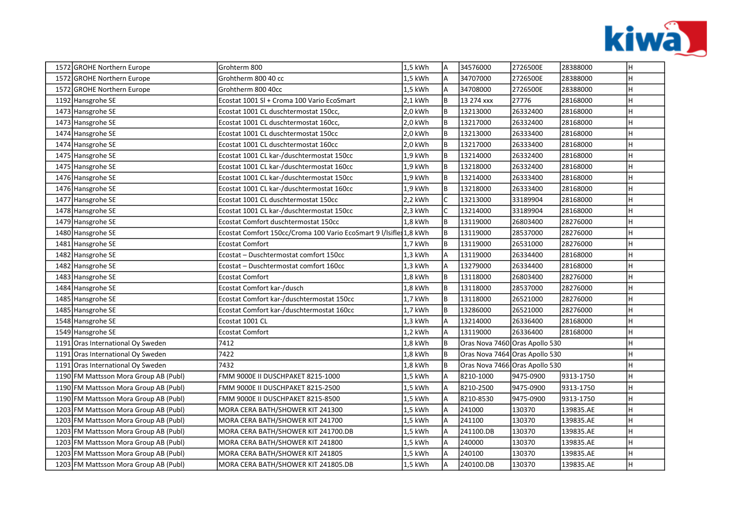

|  | 1572 GROHE Northern Europe            | Grohterm 800                                                      | 1,5 kWh   | <b>A</b>       | 34576000                       | 2726500E  | 28388000  | Η |
|--|---------------------------------------|-------------------------------------------------------------------|-----------|----------------|--------------------------------|-----------|-----------|---|
|  | 1572 GROHE Northern Europe            | Grohtherm 800 40 cc                                               | 1,5 kWh   | A              | 34707000                       | 2726500E  | 28388000  | H |
|  | 1572 GROHE Northern Europe            | Grohtherm 800 40cc                                                | 1,5 kWh   | A              | 34708000                       | 2726500E  | 28388000  | н |
|  | 1192 Hansgrohe SE                     | Ecostat 1001 SI + Croma 100 Vario EcoSmart                        | $2,1$ kWh | B              | 13 274 xxx                     | 27776     | 28168000  | н |
|  | 1473 Hansgrohe SE                     | Ecostat 1001 CL duschtermostat 150cc,                             | 2,0 kWh   | B              | 13213000                       | 26332400  | 28168000  | H |
|  | 1473 Hansgrohe SE                     | Ecostat 1001 CL duschtermostat 160cc,                             | 2,0 kWh   | B              | 13217000                       | 26332400  | 28168000  | н |
|  | 1474 Hansgrohe SE                     | Ecostat 1001 CL duschtermostat 150cc                              | 2,0 kWh   | B              | 13213000                       | 26333400  | 28168000  | н |
|  | 1474 Hansgrohe SE                     | Ecostat 1001 CL duschtermostat 160cc                              | 2,0 kWh   | B              | 13217000                       | 26333400  | 28168000  | н |
|  | 1475 Hansgrohe SE                     | Ecostat 1001 CL kar-/duschtermostat 150cc                         | 1,9 kWh   | B              | 13214000                       | 26332400  | 28168000  | н |
|  | 1475 Hansgrohe SE                     | Ecostat 1001 CL kar-/duschtermostat 160cc                         | 1,9 kWh   | B              | 13218000                       | 26332400  | 28168000  | н |
|  | 1476 Hansgrohe SE                     | Ecostat 1001 CL kar-/duschtermostat 150cc                         | 1,9 kWh   | B              | 13214000                       | 26333400  | 28168000  |   |
|  | 1476 Hansgrohe SE                     | Ecostat 1001 CL kar-/duschtermostat 160cc                         | 1,9 kWh   | B              | 13218000                       | 26333400  | 28168000  | н |
|  | 1477 Hansgrohe SE                     | Ecostat 1001 CL duschtermostat 150cc                              | 2,2 kWh   |                | 13213000                       | 33189904  | 28168000  |   |
|  | 1478 Hansgrohe SE                     | Ecostat 1001 CL kar-/duschtermostat 150cc                         | $2,3$ kWh | C              | 13214000                       | 33189904  | 28168000  |   |
|  | 1479 Hansgrohe SE                     | Ecostat Comfort duschtermostat 150cc                              | 1,8 kWh   | B              | 13119000                       | 26803400  | 28276000  |   |
|  | 1480 Hansgrohe SE                     | Ecostat Comfort 150cc/Croma 100 Vario EcoSmart 9 I/Isifle 1,8 kWh |           | ΙB             | 13119000                       | 28537000  | 28276000  |   |
|  | 1481 Hansgrohe SE                     | <b>Ecostat Comfort</b>                                            | $1.7$ kWh | B              | 13119000                       | 26531000  | 28276000  |   |
|  | 1482 Hansgrohe SE                     | Ecostat – Duschtermostat comfort 150cc                            | $1,3$ kWh | A              | 13119000                       | 26334400  | 28168000  | н |
|  | 1482 Hansgrohe SE                     | Ecostat – Duschtermostat comfort 160cc                            | 1,3 kWh   | A              | 13279000                       | 26334400  | 28168000  | н |
|  | 1483 Hansgrohe SE                     | <b>Ecostat Comfort</b>                                            | 1,8 kWh   | B              | 13118000                       | 26803400  | 28276000  | н |
|  | 1484 Hansgrohe SE                     | Ecostat Comfort kar-/dusch                                        | 1,8 kWh   | B              | 13118000                       | 28537000  | 28276000  | н |
|  | 1485 Hansgrohe SE                     | Ecostat Comfort kar-/duschtermostat 150cc                         | 1,7 kWh   | B              | 13118000                       | 26521000  | 28276000  | н |
|  | 1485 Hansgrohe SE                     | Ecostat Comfort kar-/duschtermostat 160cc                         | 1,7 kWh   | B              | 13286000                       | 26521000  | 28276000  | н |
|  | 1548 Hansgrohe SE                     | Ecostat 1001 CL                                                   | $1,3$ kWh | $\overline{A}$ | 13214000                       | 26336400  | 28168000  | н |
|  | 1549 Hansgrohe SE                     | <b>Ecostat Comfort</b>                                            | 1,2 kWh   | l A            | 13119000                       | 26336400  | 28168000  | H |
|  | 1191 Oras International Oy Sweden     | 7412                                                              | 1,8 kWh   | lв             | Oras Nova 7460 Oras Apollo 530 |           |           |   |
|  | 1191 Oras International Oy Sweden     | 7422                                                              | 1,8 kWh   | lв             | Oras Nova 7464 Oras Apollo 530 |           |           |   |
|  | 1191 Oras International Oy Sweden     | 7432                                                              | 1,8 kWh   | lв             | Oras Nova 7466 Oras Apollo 530 |           |           |   |
|  | 1190 FM Mattsson Mora Group AB (Publ) | FMM 9000E II DUSCHPAKET 8215-1000                                 | 1,5 kWh   | $\overline{A}$ | 8210-1000                      | 9475-0900 | 9313-1750 |   |
|  | 1190 FM Mattsson Mora Group AB (Publ) | FMM 9000E II DUSCHPAKET 8215-2500                                 | 1,5 kWh   | $\overline{A}$ | 8210-2500                      | 9475-0900 | 9313-1750 |   |
|  | 1190 FM Mattsson Mora Group AB (Publ) | FMM 9000E II DUSCHPAKET 8215-8500                                 | 1,5 kWh   | A              | 8210-8530                      | 9475-0900 | 9313-1750 | н |
|  | 1203 FM Mattsson Mora Group AB (Publ) | MORA CERA BATH/SHOWER KIT 241300                                  | 1,5 kWh   | A              | 241000                         | 130370    | 139835.AE | H |
|  | 1203 FM Mattsson Mora Group AB (Publ) | MORA CERA BATH/SHOWER KIT 241700                                  | 1,5 kWh   | $\overline{A}$ | 241100                         | 130370    | 139835.AE | H |
|  | 1203 FM Mattsson Mora Group AB (Publ) | MORA CERA BATH/SHOWER KIT 241700.DB                               | $1,5$ kWh | A              | 241100.DB                      | 130370    | 139835.AE | н |
|  | 1203 FM Mattsson Mora Group AB (Publ) | MORA CERA BATH/SHOWER KIT 241800                                  | 1,5 kWh   | A              | 240000                         | 130370    | 139835.AE | н |
|  | 1203 FM Mattsson Mora Group AB (Publ) | MORA CERA BATH/SHOWER KIT 241805                                  | 1,5 kWh   | A              | 240100                         | 130370    | 139835.AE |   |
|  | 1203 FM Mattsson Mora Group AB (Publ) | MORA CERA BATH/SHOWER KIT 241805.DB                               | 1,5 kWh   | A              | 240100.DB                      | 130370    | 139835.AE | н |
|  |                                       |                                                                   |           |                |                                |           |           |   |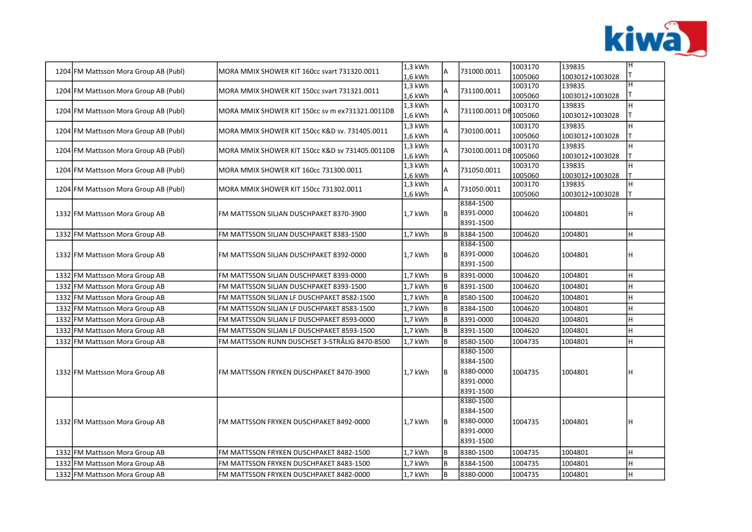

| 1204 FM Mattsson Mora Group AB (Publ) | MORA MMIX SHOWER KIT 160cc svart 731320.0011    | $1,3$ kWh<br>$1,6$ kWh | Α  | 731000.0011                                                   | 1003170<br>1005060 | 139835<br>1003012+1003028 | IН      |
|---------------------------------------|-------------------------------------------------|------------------------|----|---------------------------------------------------------------|--------------------|---------------------------|---------|
| 1204 FM Mattsson Mora Group AB (Publ) | MORA MMIX SHOWER KIT 150cc svart 731321.0011    | $1,3$ kWh<br>1,6 kWh   | A  | 731100.0011                                                   | 1003170<br>1005060 | 139835<br>1003012+1003028 | lн      |
| 1204 FM Mattsson Mora Group AB (Publ) | MORA MMIX SHOWER KIT 150cc sv m ex731321.0011DB | $1,3$ kWh<br>$1,6$ kWh | A  | 731100.0011 DB                                                | 1003170<br>1005060 | 139835<br>1003012+1003028 | lн<br>Т |
| 1204 FM Mattsson Mora Group AB (Publ) | MORA MMIX SHOWER KIT 150cc K&D sv. 731405.0011  | $1,3$ kWh<br>$1.6$ kWh | A  | 730100.0011                                                   | 1003170<br>1005060 | 139835<br>1003012+1003028 | lн      |
| 1204 FM Mattsson Mora Group AB (Publ) | MORA MMIX SHOWER KIT 150cc K&D sv 731405.0011DB | 1,3 kWh<br>$1,6$ kWh   | A  | 730100.0011 DI                                                | 1003170<br>1005060 | 139835<br>1003012+1003028 | lн      |
| 1204 FM Mattsson Mora Group AB (Publ) | MORA MMIX SHOWER KIT 160cc 731300.0011          | $1,3$ kWh<br>1,6 kWh   | A  | 731050.0011                                                   | 1003170<br>1005060 | 139835<br>1003012+1003028 | lн      |
| 1204 FM Mattsson Mora Group AB (Publ) | MORA MMIX SHOWER KIT 150cc 731302.0011          | $1,3$ kWh<br>1,6 kWh   | Α  | 731050.0011                                                   | 1003170<br>1005060 | 139835<br>1003012+1003028 | lн<br>т |
| 1332 FM Mattsson Mora Group AB        | FM MATTSSON SILJAN DUSCHPAKET 8370-3900         | 1,7 kWh                | B  | 8384-1500<br>8391-0000<br>8391-1500                           | 1004620            | 1004801                   | lн      |
| 1332 FM Mattsson Mora Group AB        | FM MATTSSON SILJAN DUSCHPAKET 8383-1500         | 1,7 kWh                | B  | 8384-1500                                                     | 1004620            | 1004801                   | lн      |
| 1332 FM Mattsson Mora Group AB        | FM MATTSSON SILJAN DUSCHPAKET 8392-0000         | 1,7 kWh                | B  | 8384-1500<br>8391-0000<br>8391-1500                           | 1004620            | 1004801                   | Iн      |
| 1332 FM Mattsson Mora Group AB        | FM MATTSSON SILJAN DUSCHPAKET 8393-0000         | 1,7 kWh                | B  | 8391-0000                                                     | 1004620            | 1004801                   | lн      |
| 1332 FM Mattsson Mora Group AB        | FM MATTSSON SILJAN DUSCHPAKET 8393-1500         | 1,7 kWh                | B  | 8391-1500                                                     | 1004620            | 1004801                   | lн.     |
| 1332 FM Mattsson Mora Group AB        | FM MATTSSON SILJAN LF DUSCHPAKET 8582-1500      | 1,7 kWh                | B  | 8580-1500                                                     | 1004620            | 1004801                   | lн.     |
| 1332 FM Mattsson Mora Group AB        | FM MATTSSON SILJAN LF DUSCHPAKET 8583-1500      | 1,7 kWh                | B  | 8384-1500                                                     | 1004620            | 1004801                   | lн      |
| 1332 FM Mattsson Mora Group AB        | FM MATTSSON SILJAN LF DUSCHPAKET 8593-0000      | $1.7$ kWh              | B  | 8391-0000                                                     | 1004620            | 1004801                   | lн.     |
| 1332 FM Mattsson Mora Group AB        | FM MATTSSON SILJAN LF DUSCHPAKET 8593-1500      | $1,7$ kWh              | B  | 8391-1500                                                     | 1004620            | 1004801                   | lн.     |
| 1332 FM Mattsson Mora Group AB        | FM MATTSSON RUNN DUSCHSET 3-STRÅLIG 8470-8500   | $1,7$ kWh              | B  | 8580-1500                                                     | 1004735            | 1004801                   | lн      |
| 1332 FM Mattsson Mora Group AB        | FM MATTSSON FRYKEN DUSCHPAKET 8470-3900         | $1.7$ kWh              | lв | 8380-1500<br>8384-1500<br>8380-0000<br>8391-0000<br>8391-1500 | 1004735            | 1004801                   | Iн      |
| 1332 FM Mattsson Mora Group AB        | FM MATTSSON FRYKEN DUSCHPAKET 8492-0000         | $1.7$ kWh              | B  | 8380-1500<br>8384-1500<br>8380-0000<br>8391-0000<br>8391-1500 | 1004735            | 1004801                   | lн      |
| 1332 FM Mattsson Mora Group AB        | FM MATTSSON FRYKEN DUSCHPAKET 8482-1500         | $1,7$ kWh              | B  | 8380-1500                                                     | 1004735            | 1004801                   | lн      |
| 1332 FM Mattsson Mora Group AB        | FM MATTSSON FRYKEN DUSCHPAKET 8483-1500         | 1,7 kWh                | B  | 8384-1500                                                     | 1004735            | 1004801                   | lн      |
| 1332 FM Mattsson Mora Group AB        | FM MATTSSON FRYKEN DUSCHPAKET 8482-0000         | 1,7 kWh                | B  | 8380-0000                                                     | 1004735            | 1004801                   | lн.     |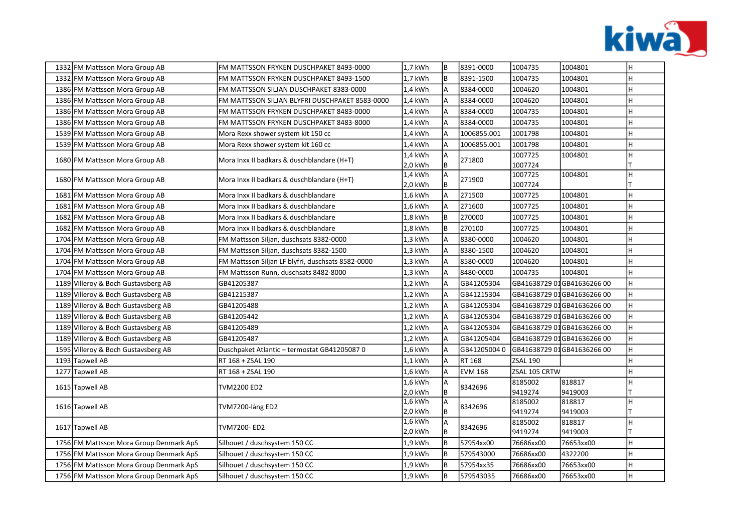

|  | 1332 FM Mattsson Mora Group AB          | FM MATTSSON FRYKEN DUSCHPAKET 8493-0000           | 1,7 kWh            | lв                  | 8391-0000      | 1004735            | 1004801                    | H. |
|--|-----------------------------------------|---------------------------------------------------|--------------------|---------------------|----------------|--------------------|----------------------------|----|
|  | 1332 FM Mattsson Mora Group AB          | FM MATTSSON FRYKEN DUSCHPAKET 8493-1500           | 1,7 kWh            | B                   | 8391-1500      | 1004735            | 1004801                    | H  |
|  | 1386 FM Mattsson Mora Group AB          | FM MATTSSON SILJAN DUSCHPAKET 8383-0000           | 1,4 kWh            | A                   | 8384-0000      | 1004620            | 1004801                    | H  |
|  | 1386 FM Mattsson Mora Group AB          | FM MATTSSON SILJAN BLYFRI DUSCHPAKET 8583-0000    | 1,4 kWh            | $\overline{A}$      | 8384-0000      | 1004620            | 1004801                    | H  |
|  | 1386 FM Mattsson Mora Group AB          | FM MATTSSON FRYKEN DUSCHPAKET 8483-0000           | 1,4 kWh            | A                   | 8384-0000      | 1004735            | 1004801                    | Η  |
|  | 1386 FM Mattsson Mora Group AB          | FM MATTSSON FRYKEN DUSCHPAKET 8483-8000           | 1,4 kWh            | $\overline{A}$      | 8384-0000      | 1004735            | 1004801                    | Η  |
|  | 1539 FM Mattsson Mora Group AB          | Mora Rexx shower system kit 150 cc                | 1,4 kWh            |                     | 1006855.001    | 1001798            | 1004801                    | H  |
|  | 1539 FM Mattsson Mora Group AB          | Mora Rexx shower system kit 160 cc                | 1,4 kWh            | $\overline{A}$      | 1006855.001    | 1001798            | 1004801                    | H  |
|  | 1680 FM Mattsson Mora Group AB          | Mora Inxx II badkars & duschblandare (H+T)        | 1,4 kWh            | A<br>B              | 271800         | 1007725<br>1007724 | 1004801                    | H  |
|  |                                         |                                                   | 2,0 kWh<br>1,4 kWh | $\overline{A}$      |                | 1007725            | 1004801                    | H  |
|  | 1680 FM Mattsson Mora Group AB          | Mora Inxx II badkars & duschblandare (H+T)        | 2,0 kWh            | B                   | 271900         | 1007724            |                            |    |
|  | 1681 FM Mattsson Mora Group AB          | Mora Inxx II badkars & duschblandare              | 1,6 kWh            | A                   | 271500         | 1007725            | 1004801                    | H  |
|  | 1681 FM Mattsson Mora Group AB          | Mora Inxx II badkars & duschblandare              | 1,6 kWh            |                     | 271600         | 1007725            | 1004801                    | H  |
|  | 1682 FM Mattsson Mora Group AB          | Mora Inxx II badkars & duschblandare              | 1,8 kWh            | B                   | 270000         | 1007725            | 1004801                    | H  |
|  | 1682 FM Mattsson Mora Group AB          | Mora Inxx II badkars & duschblandare              | 1,8 kWh            | B                   | 270100         | 1007725            | 1004801                    | H  |
|  | 1704 FM Mattsson Mora Group AB          | FM Mattsson Siljan, duschsats 8382-0000           | 1,3 kWh            | $\overline{A}$      | 8380-0000      | 1004620            | 1004801                    | H  |
|  | 1704 FM Mattsson Mora Group AB          | FM Mattsson Siljan, duschsats 8382-1500           | 1,3 kWh            | $\overline{A}$      | 8380-1500      | 1004620            | 1004801                    | H  |
|  | 1704 FM Mattsson Mora Group AB          | FM Mattsson Siljan LF blyfri, duschsats 8582-0000 | 1,3 kWh            | A                   | 8580-0000      | 1004620            | 1004801                    | H  |
|  | 1704 FM Mattsson Mora Group AB          | FM Mattsson Runn, duschsats 8482-8000             | 1,3 kWh            | A                   | 8480-0000      | 1004735            | 1004801                    | H  |
|  | 1189 Villeroy & Boch Gustavsberg AB     | GB41205387                                        | 1,2 kWh            | A                   | GB41205304     |                    | GB41638729 01GB41636266 00 | H  |
|  | 1189 Villeroy & Boch Gustavsberg AB     | GB41215387                                        | 1,2 kWh            | A                   | GB41215304     |                    | GB41638729 01GB41636266 00 | H  |
|  | 1189 Villeroy & Boch Gustavsberg AB     | GB41205488                                        | 1,2 kWh            | A                   | GB41205304     |                    | GB41638729 01GB41636266 00 | H  |
|  | 1189 Villeroy & Boch Gustavsberg AB     | GB41205442                                        | 1,2 kWh            | A                   | GB41205304     |                    | GB41638729 01GB41636266 00 | H  |
|  | 1189 Villeroy & Boch Gustavsberg AB     | GB41205489                                        | 1,2 kWh            | A                   | GB41205304     |                    | GB41638729 01GB41636266 00 | H  |
|  | 1189 Villeroy & Boch Gustavsberg AB     | GB41205487                                        | 1,2 kWh            | A                   | GB41205404     |                    | GB41638729 01GB41636266 00 | H  |
|  | 1595 Villeroy & Boch Gustavsberg AB     | Duschpaket Atlantic – termostat GB41205087 0      | 1,6 kWh            | $\overline{A}$      | GB412050040    |                    | GB41638729 01GB41636266 00 | H  |
|  | 1193 Tapwell AB                         | RT 168 + ZSAL 190                                 | $1,1$ kWh          | $\overline{A}$      | RT 168         | ZSAL 190           |                            | н  |
|  | 1277 Tapwell AB                         | RT 168 + ZSAL 190                                 | 1,6 kWh            | A                   | <b>EVM 168</b> | ZSAL 105 CRTW      |                            | н  |
|  | 1615 Tapwell AB                         | TVM2200 ED2                                       | 1,6 kWh            | $\overline{A}$      | 8342696        | 8185002            | 818817                     | н  |
|  |                                         |                                                   | 2,0 kWh<br>1,6 kWh | B<br>$\overline{A}$ |                | 9419274<br>8185002 | 9419003                    | H  |
|  | 1616 Tapwell AB                         | TVM7200-lång ED2                                  | 2,0 kWh            | B                   | 8342696        | 9419274            | 818817<br>9419003          |    |
|  |                                         |                                                   | 1,6 kWh            | A                   |                | 8185002            | 818817                     | H  |
|  | 1617 Tapwell AB                         | TVM7200- ED2                                      | 2,0 kWh            | B                   | 8342696        | 9419274            | 9419003                    |    |
|  | 1756 FM Mattsson Mora Group Denmark ApS | Silhouet / duschsystem 150 CC                     | 1,9 kWh            | B                   | 57954xx00      | 76686xx00          | 76653xx00                  | H  |
|  | 1756 FM Mattsson Mora Group Denmark ApS | Silhouet / duschsystem 150 CC                     | 1,9 kWh            | B                   | 579543000      | 76686xx00          | 4322200                    | H  |
|  | 1756 FM Mattsson Mora Group Denmark ApS | Silhouet / duschsystem 150 CC                     | 1,9 kWh            | B                   | 57954xx35      | 76686xx00          | 76653xx00                  | H  |
|  | 1756 FM Mattsson Mora Group Denmark ApS | Silhouet / duschsystem 150 CC                     | 1,9 kWh            | B                   | 579543035      | 76686xx00          | 76653xx00                  | H  |
|  |                                         |                                                   |                    |                     |                |                    |                            |    |